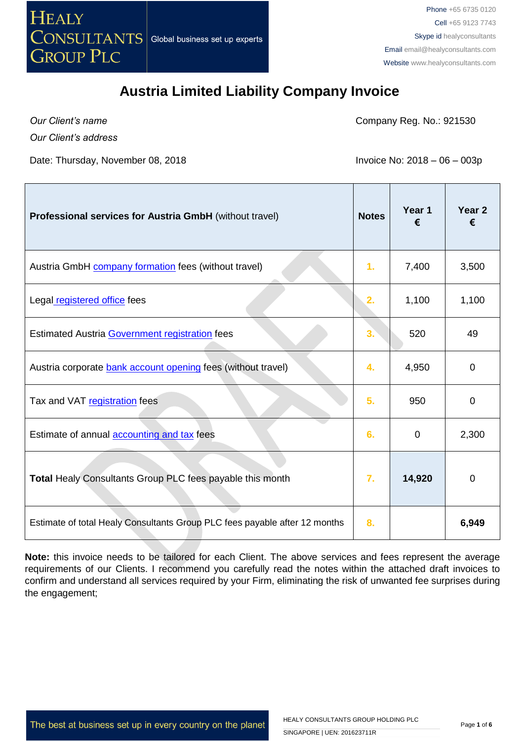

*Our Client's name*

Company Reg. No.: 921530

*Our Client's address*

Date: Thursday, November 08, 2018 **Invoice No: 2018** - 06 – 003p

 $\overline{\phantom{a}}$ 

| <b>Professional services for Austria GmbH</b> (without travel)             | <b>Notes</b> | Year 1<br>€ | Year <sub>2</sub><br>€ |
|----------------------------------------------------------------------------|--------------|-------------|------------------------|
| Austria GmbH company formation fees (without travel)                       | 1.           | 7,400       | 3,500                  |
| Legal registered office fees                                               | 2.           | 1,100       | 1,100                  |
| Estimated Austria Government registration fees                             | 3.           | 520         | 49                     |
| Austria corporate bank account opening fees (without travel)               | 4.           | 4,950       | 0                      |
| Tax and VAT registration fees                                              | 5.           | 950         | 0                      |
| Estimate of annual <b>accounting and tax</b> fees                          | 6.           | 0           | 2,300                  |
| Total Healy Consultants Group PLC fees payable this month                  | 7.           | 14,920      | 0                      |
| Estimate of total Healy Consultants Group PLC fees payable after 12 months | 8.           |             | 6,949                  |

**Note:** this invoice needs to be tailored for each Client. The above services and fees represent the average requirements of our Clients. I recommend you carefully read the notes within the attached draft invoices to confirm and understand all services required by your Firm, eliminating the risk of unwanted fee surprises during the engagement;

The best at business set up in every country on the planet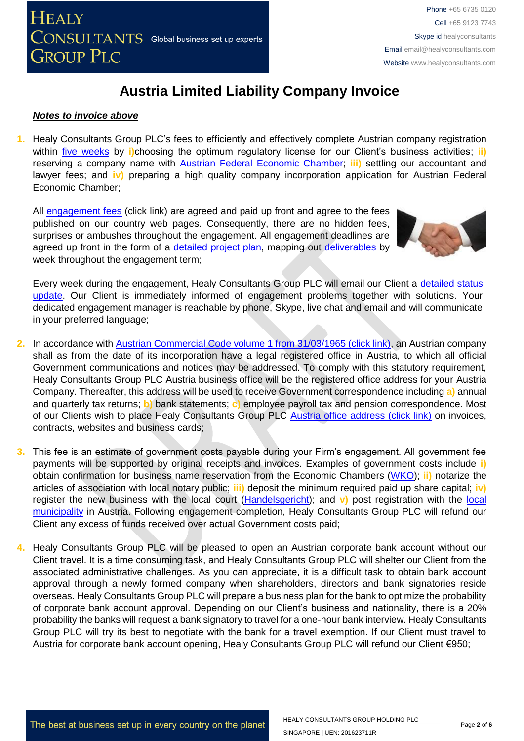

#### *Notes to invoice above*

**1.** Healy Consultants Group PLC's fees to efficiently and effectively complete Austrian company registration within [five weeks](http://www.healyconsultants.com/austria-company-registration/fees-timelines/#timelines) by **i)**choosing the optimum regulatory license for our Client's business activities; **ii)** reserving a company name with [Austrian Federal Economic Chamber;](http://www.chamber-commerce.net/dir/297/Austrian-Federal-Economic-Chamber-in-Vienna) **iii)** settling our accountant and lawyer fees; and **iv)** preparing a high quality company incorporation application for Austrian Federal Economic Chamber;

All [engagement fees](http://www.healyconsultants.com/company-registration-fees/) (click link) are agreed and paid up front and agree to the fees published on our country web pages. Consequently, there are no hidden fees, surprises or ambushes throughout the engagement. All engagement deadlines are agreed up front in the form of a [detailed project plan,](http://www.healyconsultants.com/index-important-links/example-project-plan/) mapping out [deliverables](http://www.healyconsultants.com/deliverables-to-our-clients/) by week throughout the engagement term;



Every week during the engagement, Healy Consultants Group PLC will email our Client a detailed status [update.](http://www.healyconsultants.com/index-important-links/weekly-engagement-status-email/) Our Client is immediately informed of engagement problems together with solutions. Your dedicated engagement manager is reachable by phone, Skype, live chat and email and will communicate in your preferred language;

- **2.** In accordance with [Austrian Commercial Code volume 1 from 31/03/1965 \(click link\),](http://homepage.uibk.ac.at/~c31229/pdf/oe_aktiengesetz.html) an Austrian company shall as from the date of its incorporation have a legal registered office in Austria, to which all official Government communications and notices may be addressed. To comply with this statutory requirement, Healy Consultants Group PLC Austria business office will be the registered office address for your Austria Company. Thereafter, this address will be used to receive Government correspondence including **a)** annual and quarterly tax returns; **b)** bank statements; **c)** employee payroll tax and pension correspondence. Most of our Clients wish to place Healy Consultants Group PLC [Austria office address \(click link\)](http://www.healyconsultants.com/virtual-office/) on invoices, contracts, websites and business cards;
- **3.** This fee is an estimate of government costs payable during your Firm's engagement. All government fee payments will be supported by original receipts and invoices. Examples of government costs include **i)** obtain confirmation for business name reservation from the Economic Chambers [\(WKO\)](https://www.wko.at/Content.Node/wir/Austrian_Economic_Chambers_Home.html); **ii)** notarize the articles of association with local notary public; **iii)** deposit the minimum required paid up share capital; **iv)** register the new business with the local court [\(Handelsgericht\)](http://www.justiz.gv.at/web2013/html/default/2c9484853f386e94013f57e3f02d0a88.de.html); and v) post registration with the local [municipality](https://www.wien.gv.at/english/) in Austria. Following engagement completion, Healy Consultants Group PLC will refund our Client any excess of funds received over actual Government costs paid;
- **4.** Healy Consultants Group PLC will be pleased to open an Austrian corporate bank account without our Client travel. It is a time consuming task, and Healy Consultants Group PLC will shelter our Client from the associated administrative challenges. As you can appreciate, it is a difficult task to obtain bank account approval through a newly formed company when shareholders, directors and bank signatories reside overseas. Healy Consultants Group PLC will prepare a business plan for the bank to optimize the probability of corporate bank account approval. Depending on our Client's business and nationality, there is a 20% probability the banks will request a bank signatory to travel for a one-hour bank interview. Healy Consultants Group PLC will try its best to negotiate with the bank for a travel exemption. If our Client must travel to Austria for corporate bank account opening, Healy Consultants Group PLC will refund our Client €950;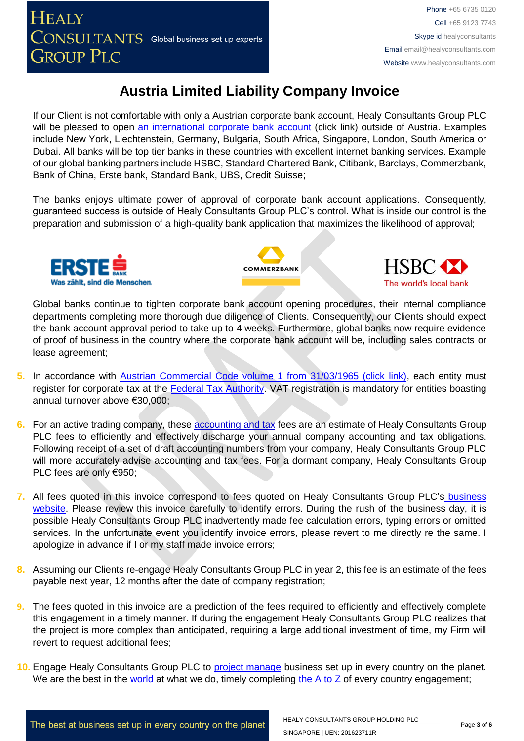If our Client is not comfortable with only a Austrian corporate bank account, Healy Consultants Group PLC will be pleased to open [an international corporate bank account](http://www.healyconsultants.com/international-banking/) (click link) outside of Austria. Examples include New York, Liechtenstein, Germany, Bulgaria, South Africa, Singapore, London, South America or Dubai. All banks will be top tier banks in these countries with excellent internet banking services. Example of our global banking partners include HSBC, Standard Chartered Bank, Citibank, Barclays, Commerzbank, Bank of China, Erste bank, Standard Bank, UBS, Credit Suisse;

The banks enjoys ultimate power of approval of corporate bank account applications. Consequently, guaranteed success is outside of Healy Consultants Group PLC's control. What is inside our control is the preparation and submission of a high-quality bank application that maximizes the likelihood of approval;







Global banks continue to tighten corporate bank account opening procedures, their internal compliance departments completing more thorough due diligence of Clients. Consequently, our Clients should expect the bank account approval period to take up to 4 weeks. Furthermore, global banks now require evidence of proof of business in the country where the corporate bank account will be, including sales contracts or lease agreement;

- 5. In accordance with [Austrian Commercial Code volume 1 from 31/03/1965 \(click link\),](http://homepage.uibk.ac.at/~c31229/pdf/oe_aktiengesetz.html) each entity must register for corporate tax at the **Federal Tax Authority**. VAT registration is mandatory for entities boasting annual turnover above €30,000;
- **6.** For an active trading company, these **accounting and tax** fees are an estimate of Healy Consultants Group PLC fees to efficiently and effectively discharge your annual company accounting and tax obligations. Following receipt of a set of draft accounting numbers from your company, Healy Consultants Group PLC will more accurately advise accounting and tax fees. For a dormant company, Healy Consultants Group PLC fees are only €950;
- **7.** All fees quoted in this invoice correspond to fees quoted on Healy Consultants Group PLC's [business](http://www.healyconsultants.com/company-registration-fees/)  [website.](http://www.healyconsultants.com/company-registration-fees/) Please review this invoice carefully to identify errors. During the rush of the business day, it is possible Healy Consultants Group PLC inadvertently made fee calculation errors, typing errors or omitted services. In the unfortunate event you identify invoice errors, please revert to me directly re the same. I apologize in advance if I or my staff made invoice errors;
- **8.** Assuming our Clients re-engage Healy Consultants Group PLC in year 2, this fee is an estimate of the fees payable next year, 12 months after the date of company registration;
- **9.** The fees quoted in this invoice are a prediction of the fees required to efficiently and effectively complete this engagement in a timely manner. If during the engagement Healy Consultants Group PLC realizes that the project is more complex than anticipated, requiring a large additional investment of time, my Firm will revert to request additional fees;
- **10.** Engage Healy Consultants Group PLC to [project manage](http://www.healyconsultants.com/project-manage-engagements/) business set up in every country on the planet. We are the best in the [world](http://www.healyconsultants.com/best-in-the-world/) at what we do, timely completing the  $A$  to  $Z$  of every country engagement;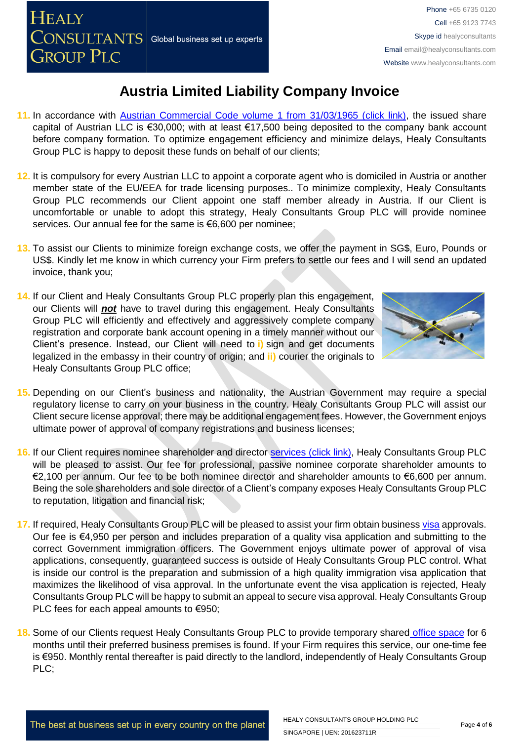**HEALY** 

**GROUP PLC** 

Phone +65 6735 0120 Cell +65 9123 7743 Skype id healyconsultants Email [email@healyconsultants.com](mailto:EMAIL@HEALYCONSULTANTS.COM) Website [www.healyconsultants.com](http://www.healyconsultants.com/)

### **Austria Limited Liability Company Invoice**

- **11.** In accordance with [Austrian Commercial Code volume 1 from 31/03/1965 \(click link\),](http://homepage.uibk.ac.at/~c31229/pdf/oe_aktiengesetz.html) the issued share capital of Austrian LLC is €30,000; with at least €17,500 being deposited to the company bank account before company formation. To optimize engagement efficiency and minimize delays, Healy Consultants Group PLC is happy to deposit these funds on behalf of our clients;
- **12.** It is compulsory for every Austrian LLC to appoint a corporate agent who is domiciled in Austria or another member state of the EU/EEA for trade licensing purposes.. To minimize complexity, Healy Consultants Group PLC recommends our Client appoint one staff member already in Austria. If our Client is uncomfortable or unable to adopt this strategy, Healy Consultants Group PLC will provide nominee services. Our annual fee for the same is €6,600 per nominee;
- **13.** To assist our Clients to minimize foreign exchange costs, we offer the payment in SG\$, Euro, Pounds or US\$. Kindly let me know in which currency your Firm prefers to settle our fees and I will send an updated invoice, thank you;
- **14.** If our Client and Healy Consultants Group PLC properly plan this engagement, our Clients will *not* have to travel during this engagement. Healy Consultants Group PLC will efficiently and effectively and aggressively complete company registration and corporate bank account opening in a timely manner without our Client's presence. Instead, our Client will need to **i)** sign and get documents legalized in the embassy in their country of origin; and **ii)** courier the originals to Healy Consultants Group PLC office;



- **15.** Depending on our Client's business and nationality, the Austrian Government may require a special regulatory license to carry on your business in the country. Healy Consultants Group PLC will assist our Client secure license approval; there may be additional engagement fees. However, the Government enjoys ultimate power of approval of company registrations and business licenses;
- **16.** If our Client requires nominee shareholder and director services [\(click link\),](http://www.healyconsultants.com/corporate-outsourcing-services/nominee-shareholders-directors/) Healy Consultants Group PLC will be pleased to assist. Our fee for professional, passive nominee corporate shareholder amounts to €2,100 per annum. Our fee to be both nominee director and shareholder amounts to €6,600 per annum. Being the sole shareholders and sole director of a Client's company exposes Healy Consultants Group PLC to reputation, litigation and financial risk;
- **17.** If required, Healy Consultants Group PLC will be pleased to assist your firm obtain business [visa](http://www.healyconsultants.com/austria-company-registration/formation-support-services/) approvals. Our fee is €4,950 per person and includes preparation of a quality visa application and submitting to the correct Government immigration officers. The Government enjoys ultimate power of approval of visa applications, consequently, guaranteed success is outside of Healy Consultants Group PLC control. What is inside our control is the preparation and submission of a high quality immigration visa application that maximizes the likelihood of visa approval. In the unfortunate event the visa application is rejected, Healy Consultants Group PLC will be happy to submit an appeal to secure visa approval. Healy Consultants Group PLC fees for each appeal amounts to €950;
- **18.** Some of our Clients request Healy Consultants Group PLC to provide temporary shared [office space](http://www.healyconsultants.com/virtual-office/) for 6 months until their preferred business premises is found. If your Firm requires this service, our one-time fee is €950. Monthly rental thereafter is paid directly to the landlord, independently of Healy Consultants Group PLC;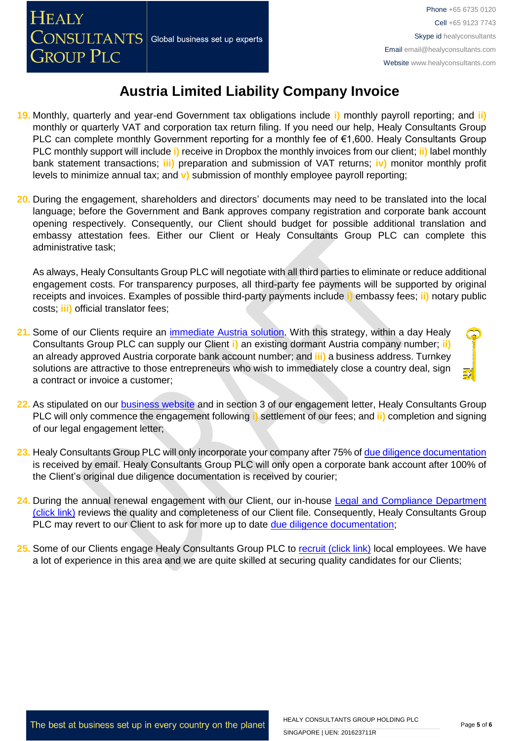- **19.** Monthly, quarterly and year-end Government tax obligations include **i)** monthly payroll reporting; and **ii)** monthly or quarterly VAT and corporation tax return filing. If you need our help, Healy Consultants Group PLC can complete monthly Government reporting for a monthly fee of €1,600. Healy Consultants Group PLC monthly support will include **i)** receive in Dropbox the monthly invoices from our client; **ii)** label monthly bank statement transactions; **iii)** preparation and submission of VAT returns; **iv)** monitor monthly profit levels to minimize annual tax; and **v)** submission of monthly employee payroll reporting;
- **20.** During the engagement, shareholders and directors' documents may need to be translated into the local language; before the Government and Bank approves company registration and corporate bank account opening respectively. Consequently, our Client should budget for possible additional translation and embassy attestation fees. Either our Client or Healy Consultants Group PLC can complete this administrative task;

As always, Healy Consultants Group PLC will negotiate with all third parties to eliminate or reduce additional engagement costs. For transparency purposes, all third-party fee payments will be supported by original receipts and invoices. Examples of possible third-party payments include **i)** embassy fees; **ii)** notary public costs; **iii)** official translator fees;

- **21.** Some of our Clients require an [immediate Austria solution.](http://www.healyconsultants.com/turnkey-solutions/) With this strategy, within a day Healy Consultants Group PLC can supply our Client **i)** an existing dormant Austria company number; **ii)** an already approved Austria corporate bank account number; and **iii)** a business address. Turnkey solutions are attractive to those entrepreneurs who wish to immediately close a country deal, sign a contract or invoice a customer;
- **22.** As stipulated on our [business website](http://www.healyconsultants.com/) and in section 3 of our engagement letter, Healy Consultants Group PLC will only commence the engagement following **i)** settlement of our fees; and **ii)** completion and signing of our legal engagement letter;
- **23.** Healy Consultants Group PLC will only incorporate your company after 75% of [due diligence documentation](http://www.healyconsultants.com/due-diligence/) is received by email. Healy Consultants Group PLC will only open a corporate bank account after 100% of the Client's original due diligence documentation is received by courier;
- **24.** During the annual renewal engagement with our Client, our in-house [Legal and Compliance Department](http://www.healyconsultants.com/about-us/key-personnel/cai-xin-profile/)  [\(click link\)](http://www.healyconsultants.com/about-us/key-personnel/cai-xin-profile/) reviews the quality and completeness of our Client file. Consequently, Healy Consultants Group PLC may revert to our Client to ask for more up to date [due diligence documentation;](http://www.healyconsultants.com/due-diligence/)
- 25. Some of our Clients engage Healy Consultants Group PLC to [recruit \(click link\)](http://www.healyconsultants.com/corporate-outsourcing-services/how-we-help-our-clients-recruit-quality-employees/) local employees. We have a lot of experience in this area and we are quite skilled at securing quality candidates for our Clients;